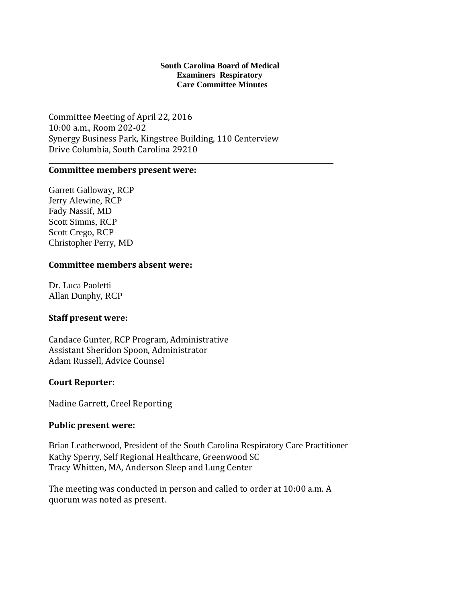### **South Carolina Board of Medical Examiners Respiratory Care Committee Minutes**

Committee Meeting of April 22, 2016 10:00 a.m., Room 202-02 Synergy Business Park, Kingstree Building, 110 Centerview Drive Columbia, South Carolina 29210

### **Committee members present were:**

Garrett Galloway, RCP Jerry Alewine, RCP Fady Nassif, MD Scott Simms, RCP Scott Crego, RCP Christopher Perry, MD

## **Committee members absent were:**

Dr. Luca Paoletti Allan Dunphy, RCP

## **Staff present were:**

Candace Gunter, RCP Program, Administrative Assistant Sheridon Spoon, Administrator Adam Russell, Advice Counsel

## **Court Reporter:**

Nadine Garrett, Creel Reporting

### **Public present were:**

Brian Leatherwood, President of the South Carolina Respiratory Care Practitioner Kathy Sperry, Self Regional Healthcare, Greenwood SC Tracy Whitten, MA, Anderson Sleep and Lung Center

The meeting was conducted in person and called to order at 10:00 a.m. A quorum was noted as present.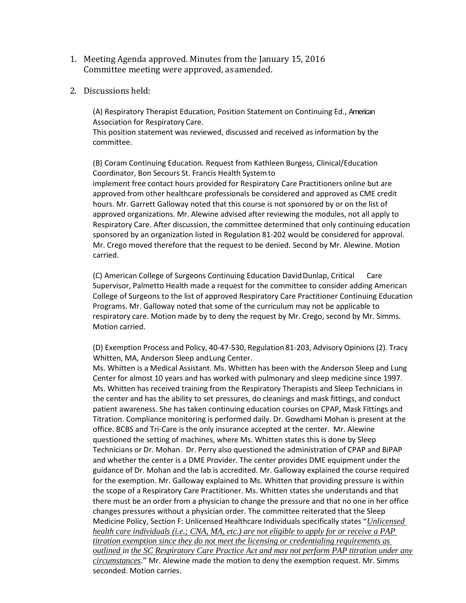- 1. Meeting Agenda approved. Minutes from the January 15, 2016 Committee meeting were approved, asamended.
- 2. Discussions held:

(A) Respiratory Therapist Education, Position Statement on Continuing Ed., American Association for Respiratory Care.

This position statement was reviewed, discussed and received as information by the committee.

(B) Coram Continuing Education. Request from Kathleen Burgess, Clinical/Education Coordinator, Bon Secours St. Francis Health Systemto

implement free contact hours provided for Respiratory Care Practitioners online but are approved from other healthcare professionals be considered and approved as CME credit hours. Mr. Garrett Galloway noted that this course is not sponsored by or on the list of approved organizations. Mr. Alewine advised after reviewing the modules, not all apply to Respiratory Care. After discussion, the committee determined that only continuing education sponsored by an organization listed in Regulation 81-202 would be considered for approval. Mr. Crego moved therefore that the request to be denied. Second by Mr. Alewine. Motion carried.

(C) American College of Surgeons Continuing Education DavidDunlap, Critical Care Supervisor, Palmetto Health made a request for the committee to consider adding American College of Surgeons to the list of approved Respiratory Care Practitioner Continuing Education Programs. Mr. Galloway noted that some of the curriculum may not be applicable to respiratory care. Motion made by to deny the request by Mr. Crego, second by Mr. Simms. Motion carried.

(D) Exemption Process and Policy, 40-47-530, Regulation 81-203, Advisory Opinions (2). Tracy Whitten, MA, Anderson Sleep andLung Center.

Ms. Whitten is a Medical Assistant. Ms. Whitten has been with the Anderson Sleep and Lung Center for almost 10 years and has worked with pulmonary and sleep medicine since 1997. Ms. Whitten has received training from the Respiratory Therapists and Sleep Technicians in the center and has the ability to set pressures, do cleanings and mask fittings, and conduct patient awareness. She has taken continuing education courses on CPAP, Mask Fittings and Titration. Compliance monitoring is performed daily. Dr. Gowdhami Mohan is present at the office. BCBS and Tri-Care is the only insurance accepted at the center. Mr. Alewine questioned the setting of machines, where Ms. Whitten states this is done by Sleep Technicians or Dr. Mohan. Dr. Perry also questioned the administration of CPAP and BiPAP and whether the center is a DME Provider. The center provides DME equipment under the guidance of Dr. Mohan and the lab is accredited. Mr. Galloway explained the course required for the exemption. Mr. Galloway explained to Ms. Whitten that providing pressure is within the scope of a Respiratory Care Practitioner. Ms. Whitten states she understands and that there must be an order from a physician to change the pressure and that no one in her office changes pressures without a physician order. The committee reiterated that the Sleep Medicine Policy, Section F: Unlicensed Healthcare Individuals specifically states "*Unlicensed health care individuals (i.e.; CNA, MA, etc.) are not eligible to apply for or receive a PAP titration exemption since they do not meet the licensing or credentialing requirements as outlined in the SC Respiratory Care Practice Act and may not perform PAP titration under any circumstances*." Mr. Alewine made the motion to deny the exemption request. Mr. Simms seconded. Motion carries.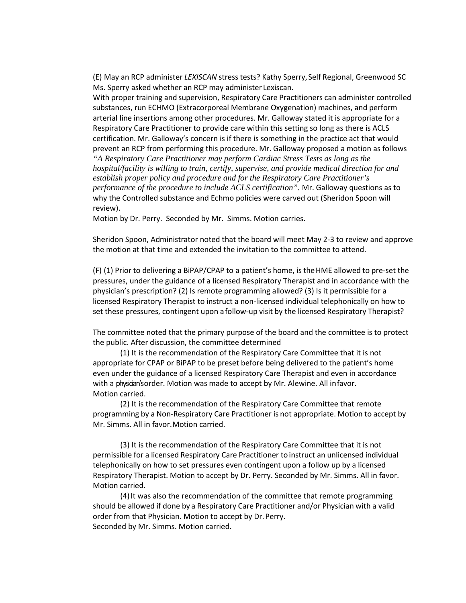(E) May an RCP administer *LEXISCAN* stress tests? Kathy Sperry,Self Regional, Greenwood SC Ms. Sperry asked whether an RCP may administer Lexiscan.

With proper training and supervision, Respiratory Care Practitioners can administer controlled substances, run ECHMO (Extracorporeal Membrane Oxygenation) machines, and perform arterial line insertions among other procedures. Mr. Galloway stated it is appropriate for a Respiratory Care Practitioner to provide care within this setting so long as there is ACLS certification. Mr. Galloway's concern is if there is something in the practice act that would prevent an RCP from performing this procedure. Mr. Galloway proposed a motion as follows *"A Respiratory Care Practitioner may perform Cardiac Stress Tests as long as the hospital/facility is willing to train, certify, supervise, and provide medical direction for and establish proper policy and procedure and for the Respiratory Care Practitioner's performance of the procedure to include ACLS certification"*. Mr. Galloway questions as to why the Controlled substance and Echmo policies were carved out (Sheridon Spoon will review).

Motion by Dr. Perry. Seconded by Mr. Simms. Motion carries.

Sheridon Spoon, Administrator noted that the board will meet May 2-3 to review and approve the motion at that time and extended the invitation to the committee to attend.

(F) (1) Prior to delivering a BiPAP/CPAP to a patient's home, is theHME allowed to pre-set the pressures, under the guidance of a licensed Respiratory Therapist and in accordance with the physician's prescription? (2) Is remote programming allowed? (3) Is it permissible for a licensed Respiratory Therapist to instruct a non-licensed individual telephonically on how to set these pressures, contingent upon afollow-up visit by the licensed Respiratory Therapist?

The committee noted that the primary purpose of the board and the committee is to protect the public. After discussion, the committee determined

(1) It is the recommendation of the Respiratory Care Committee that it is not appropriate for CPAP or BiPAP to be preset before being delivered to the patient's home even under the guidance of a licensed Respiratory Care Therapist and even in accordance with a physician's order. Motion was made to accept by Mr. Alewine. All infavor. Motion carried.

(2) It is the recommendation of the Respiratory Care Committee that remote programming by a Non-Respiratory Care Practitioner is not appropriate. Motion to accept by Mr. Simms. All in favor.Motion carried.

(3) It is the recommendation of the Respiratory Care Committee that it is not permissible for a licensed Respiratory Care Practitioner to instruct an unlicensed individual telephonically on how to set pressures even contingent upon a follow up by a licensed Respiratory Therapist. Motion to accept by Dr. Perry. Seconded by Mr. Simms. All in favor. Motion carried.

(4)It was also the recommendation of the committee that remote programming should be allowed if done by a Respiratory Care Practitioner and/or Physician with a valid order from that Physician. Motion to accept by Dr. Perry. Seconded by Mr. Simms. Motion carried.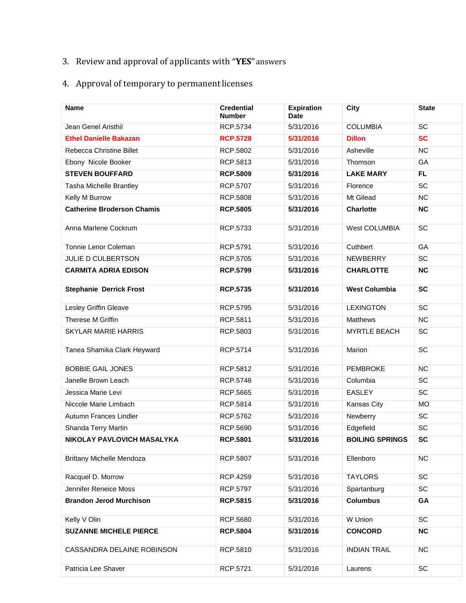# 3. Review and approval of applicants with "**YES**"answers

# 4. Approval of temporary to permanentlicenses

| <b>Name</b>                       | <b>Credential</b><br><b>Number</b> | <b>Expiration</b><br><b>Date</b> | City                   | <b>State</b> |
|-----------------------------------|------------------------------------|----------------------------------|------------------------|--------------|
| Jean Genel Aristhil               | RCP.5734                           | 5/31/2016                        | <b>COLUMBIA</b>        | SC           |
| <b>Ethel Danielle Bakazan</b>     | <b>RCP.5728</b>                    | 5/31/2016                        | <b>Dillon</b>          | <b>SC</b>    |
| Rebecca Christine Billet          | RCP.5802                           | 5/31/2016                        | Asheville              | <b>NC</b>    |
| Ebony Nicole Booker               | RCP.5813                           | 5/31/2016                        | Thomson                | GA           |
| <b>STEVEN BOUFFARD</b>            | <b>RCP.5809</b>                    | 5/31/2016                        | <b>LAKE MARY</b>       | <b>FL</b>    |
| Tasha Michelle Brantley           | RCP.5707                           | 5/31/2016                        | Florence               | SC           |
| Kelly M Burrow                    | RCP.5808                           | 5/31/2016                        | Mt Gilead              | NC           |
| <b>Catherine Broderson Chamis</b> | <b>RCP.5805</b>                    | 5/31/2016                        | <b>Charlotte</b>       | <b>NC</b>    |
| Anna Marlene Cockrum              | RCP.5733                           | 5/31/2016                        | West COLUMBIA          | <b>SC</b>    |
| Tonnie Lenor Coleman              | RCP.5791                           | 5/31/2016                        | Cuthbert               | GA           |
| <b>JULIE D CULBERTSON</b>         | RCP.5705                           | 5/31/2016                        | <b>NEWBERRY</b>        | SC           |
| <b>CARMITA ADRIA EDISON</b>       | <b>RCP.5799</b>                    | 5/31/2016                        | <b>CHARLOTTE</b>       | <b>NC</b>    |
| <b>Stephanie Derrick Frost</b>    | <b>RCP.5735</b>                    | 5/31/2016                        | <b>West Columbia</b>   | SC           |
| Lesley Griffin Gleave             | RCP.5795                           | 5/31/2016                        | <b>LEXINGTON</b>       | SC           |
| Therese M Griffin                 | RCP.5811                           | 5/31/2016                        | <b>Matthews</b>        | NC           |
| <b>SKYLAR MARIE HARRIS</b>        | RCP.5803                           | 5/31/2016                        | <b>MYRTLE BEACH</b>    | SC           |
| Tanea Shamika Clark Heyward       | RCP.5714                           | 5/31/2016                        | Marion                 | SC           |
| <b>BOBBIE GAIL JONES</b>          | RCP.5812                           | 5/31/2016                        | <b>PEMBROKE</b>        | NC           |
| Janelle Brown Leach               | RCP.5748                           | 5/31/2016                        | Columbia               | SC           |
| Jessica Marie Levi                | RCP.5665                           | 5/31/2016                        | <b>EASLEY</b>          | SC           |
| Niccole Marie Limbach             | RCP.5814                           | 5/31/2016                        | Kansas City            | <b>MO</b>    |
| Autumn Frances Lindler            | RCP.5762                           | 5/31/2016                        | Newberry               | SC           |
| Shanda Terry Martin               | RCP.5690                           | 5/31/2016                        | Edgefield              | SC           |
| NIKOLAY PAVLOVICH MASALYKA        | <b>RCP.5801</b>                    | 5/31/2016                        | <b>BOILING SPRINGS</b> | SC           |
| <b>Brittany Michelle Mendoza</b>  | RCP.5807                           | 5/31/2016                        | Ellenboro              | <b>NC</b>    |
| Racquel D. Morrow                 | RCP.4259                           | 5/31/2016                        | <b>TAYLORS</b>         | SC           |
| Jennifer Reneice Moss             | <b>RCP.5797</b>                    | 5/31/2016                        | Spartanburg            | SC           |
| <b>Brandon Jerod Murchison</b>    | <b>RCP.5815</b>                    | 5/31/2016                        | <b>Columbus</b>        | GA           |
| Kelly V Olin                      | RCP.5680                           | 5/31/2016                        | W Union                | SC           |
| <b>SUZANNE MICHELE PIERCE</b>     | <b>RCP.5804</b>                    | 5/31/2016                        | <b>CONCORD</b>         | <b>NC</b>    |
| CASSANDRA DELAINE ROBINSON        | RCP.5810                           | 5/31/2016                        | <b>INDIAN TRAIL</b>    | <b>NC</b>    |
| Patricia Lee Shaver               | RCP.5721                           | 5/31/2016                        | Laurens                | SC           |